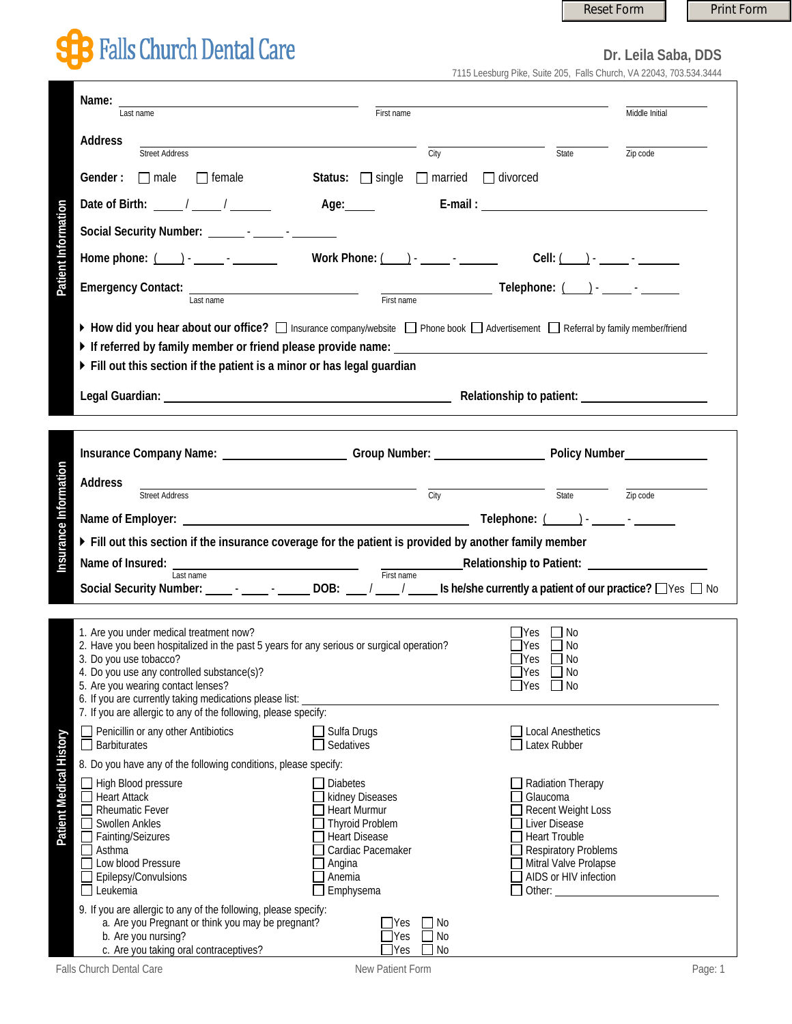## Reset Form **Print Form**

## **B** Falls Church Dental Care

**Dr. Leila Saba, DDS** 7115 Leesburg Pike, Suite 205, Falls Church, VA 22043, 703.534.3444

| Name:                                                                                                                                                                                                                                                                                                                                                                                                                                                                                                             |                                                                                                                                                                          |                                                                                                                                                                                         |                |  |  |  |  |
|-------------------------------------------------------------------------------------------------------------------------------------------------------------------------------------------------------------------------------------------------------------------------------------------------------------------------------------------------------------------------------------------------------------------------------------------------------------------------------------------------------------------|--------------------------------------------------------------------------------------------------------------------------------------------------------------------------|-----------------------------------------------------------------------------------------------------------------------------------------------------------------------------------------|----------------|--|--|--|--|
| Last name                                                                                                                                                                                                                                                                                                                                                                                                                                                                                                         | First name                                                                                                                                                               |                                                                                                                                                                                         | Middle Initial |  |  |  |  |
| <b>Address</b><br><b>Street Address</b>                                                                                                                                                                                                                                                                                                                                                                                                                                                                           | City                                                                                                                                                                     | State                                                                                                                                                                                   | Zip code       |  |  |  |  |
| Gender:<br>$\Box$ male<br>$\Box$ female                                                                                                                                                                                                                                                                                                                                                                                                                                                                           | Status: $\Box$ single $\Box$ married $\Box$ divorced                                                                                                                     |                                                                                                                                                                                         |                |  |  |  |  |
| Date of Birth: $\frac{1}{\sqrt{2\pi}}$ / $\frac{1}{\sqrt{2\pi}}$                                                                                                                                                                                                                                                                                                                                                                                                                                                  | Age:                                                                                                                                                                     |                                                                                                                                                                                         |                |  |  |  |  |
|                                                                                                                                                                                                                                                                                                                                                                                                                                                                                                                   |                                                                                                                                                                          |                                                                                                                                                                                         |                |  |  |  |  |
| Patient Information<br>Home phone: $($ $)$ - $)$ - $)$ - $)$ - $)$ - $)$ - $)$ - $)$ - $)$ - $)$ - $)$ - $)$ - $)$ - $)$ - $)$ - $)$ - $)$ - $)$ - $)$ - $)$ - $)$ - $)$ - $)$ - $)$ - $)$ - $)$ - $)$ - $)$ - $)$ - $)$ - $)$ - $)$ - $)$ - $)$ -                                                                                                                                                                                                                                                                | Work Phone: $($ $)$ $ -$                                                                                                                                                 | Cell: $($ $)$ $     -$                                                                                                                                                                  |                |  |  |  |  |
| Last name                                                                                                                                                                                                                                                                                                                                                                                                                                                                                                         |                                                                                                                                                                          | Telephone: ( ) - _____ - _______<br>First name                                                                                                                                          |                |  |  |  |  |
| ▶ How did you hear about our office? [ Insurance company/website   Phone book   Advertisement   Referral by family member/friend<br>If referred by family member or friend please provide name: $\Box$<br>Fill out this section if the patient is a minor or has legal guardian<br>Legal Guardian: Network of America Contract Contract Contract Contract Contract Contract Contract Contract Contract Contract Contract Contract Contract Contract Contract Contract Contract Contract Contract Contract Contrac |                                                                                                                                                                          |                                                                                                                                                                                         |                |  |  |  |  |
|                                                                                                                                                                                                                                                                                                                                                                                                                                                                                                                   |                                                                                                                                                                          |                                                                                                                                                                                         |                |  |  |  |  |
| Insurance Company Name: Campany Number: Comp Number: Company Number Policy Number                                                                                                                                                                                                                                                                                                                                                                                                                                 |                                                                                                                                                                          |                                                                                                                                                                                         |                |  |  |  |  |
| Insurance Information<br><b>Address</b>                                                                                                                                                                                                                                                                                                                                                                                                                                                                           | <u> 1980 - Andrea Andrew Maria (h. 1980).</u>                                                                                                                            |                                                                                                                                                                                         |                |  |  |  |  |
| <b>Street Address</b>                                                                                                                                                                                                                                                                                                                                                                                                                                                                                             | $\overline{\mathrm{City}}$                                                                                                                                               | State <b>Zip</b> code                                                                                                                                                                   |                |  |  |  |  |
| Fill out this section if the insurance coverage for the patient is provided by another family member                                                                                                                                                                                                                                                                                                                                                                                                              |                                                                                                                                                                          |                                                                                                                                                                                         |                |  |  |  |  |
|                                                                                                                                                                                                                                                                                                                                                                                                                                                                                                                   |                                                                                                                                                                          |                                                                                                                                                                                         |                |  |  |  |  |
| Name of Insured:<br>Institute and the set of Insured:<br>Institute and Time Relationship to Patient:<br>Institute and Time Relationship to Patient:<br>Social Security Number: _______________________DOB: ____/ _____/ ______ Is he/she currently a patient of our practice? □ Yes □ No                                                                                                                                                                                                                          |                                                                                                                                                                          |                                                                                                                                                                                         |                |  |  |  |  |
|                                                                                                                                                                                                                                                                                                                                                                                                                                                                                                                   |                                                                                                                                                                          |                                                                                                                                                                                         |                |  |  |  |  |
| 1. Are you under medical treatment now?<br>2. Have you been hospitalized in the past 5 years for any serious or surgical operation?<br>3. Do you use tobacco?<br>4. Do you use any controlled substance(s)?<br>5. Are you wearing contact lenses?<br>6. If you are currently taking medications please list:<br>7. If you are allergic to any of the following, please specify:                                                                                                                                   |                                                                                                                                                                          | - IYes<br>l INo<br>∐Yes<br>No<br>$\Box$ Yes<br>$\Box$ No<br>$\square$ No<br>$\sqcup$ Yes<br>$\Box$ No<br>$\Box$ Yes                                                                     |                |  |  |  |  |
| Penicillin or any other Antibiotics<br>Barbiturates                                                                                                                                                                                                                                                                                                                                                                                                                                                               | $\Box$ Sulfa Drugs<br>$\Box$ Sedatives                                                                                                                                   | $\Box$ Local Anesthetics<br>$\Box$ Latex Rubber                                                                                                                                         |                |  |  |  |  |
| 8. Do you have any of the following conditions, please specify:                                                                                                                                                                                                                                                                                                                                                                                                                                                   |                                                                                                                                                                          |                                                                                                                                                                                         |                |  |  |  |  |
| Patient Medical History<br>High Blood pressure<br><b>Heart Attack</b><br><b>Rheumatic Fever</b><br><b>Swollen Ankles</b><br>Fainting/Seizures<br>Asthma<br>Low blood Pressure<br>Epilepsy/Convulsions<br>Leukemia                                                                                                                                                                                                                                                                                                 | Diabetes<br>kidney Diseases<br><b>Heart Murmur</b><br><b>Thyroid Problem</b><br><b>Heart Disease</b><br>Cardiac Pacemaker<br>$\Box$ Angina<br>$\Box$ Anemia<br>Emphysema | Radiation Therapy<br>Glaucoma<br>Recent Weight Loss<br>Liver Disease<br><b>Heart Trouble</b><br><b>Respiratory Problems</b><br>Mitral Valve Prolapse<br>AIDS or HIV infection<br>Other: |                |  |  |  |  |
| 9. If you are allergic to any of the following, please specify:<br>a. Are you Pregnant or think you may be pregnant?<br>b. Are you nursing?<br>c. Are you taking oral contraceptives?                                                                                                                                                                                                                                                                                                                             | No<br><b>IYes</b><br>N <sub>0</sub><br> Yes<br>]Yes<br>No                                                                                                                |                                                                                                                                                                                         |                |  |  |  |  |

Falls Church Dental Care **New Patient Form** New Patient Form **New Patient Form** Page: 1